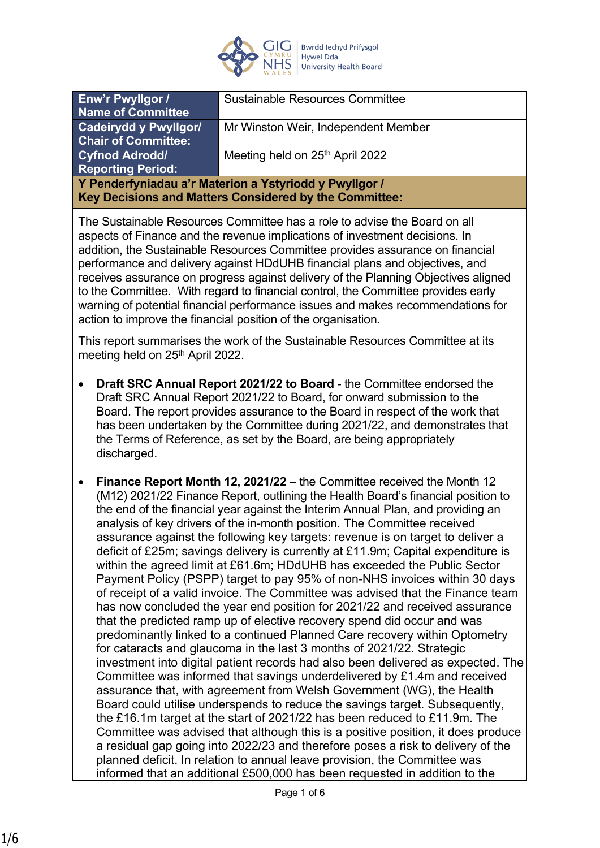

| Enw'r Pwyllgor /<br><b>Name of Committee</b>                                                                     | <b>Sustainable Resources Committee</b> |
|------------------------------------------------------------------------------------------------------------------|----------------------------------------|
| <b>Cadeirydd y Pwyllgor/</b><br><b>Chair of Committee:</b>                                                       | Mr Winston Weir, Independent Member    |
| <b>Cyfnod Adrodd/</b><br><b>Reporting Period:</b>                                                                | Meeting held on 25th April 2022        |
| Y Penderfyniadau a'r Materion a Ystyriodd y Pwyllgor /<br>Key Decisions and Matters Considered by the Committee: |                                        |

The Sustainable Resources Committee has a role to advise the Board on all aspects of Finance and the revenue implications of investment decisions. In addition, the Sustainable Resources Committee provides assurance on financial performance and delivery against HDdUHB financial plans and objectives, and receives assurance on progress against delivery of the Planning Objectives aligned to the Committee. With regard to financial control, the Committee provides early warning of potential financial performance issues and makes recommendations for action to improve the financial position of the organisation.

This report summarises the work of the Sustainable Resources Committee at its meeting held on 25<sup>th</sup> April 2022.

- **Draft SRC Annual Report 2021/22 to Board** the Committee endorsed the Draft SRC Annual Report 2021/22 to Board, for onward submission to the Board. The report provides assurance to the Board in respect of the work that has been undertaken by the Committee during 2021/22, and demonstrates that the Terms of Reference, as set by the Board, are being appropriately discharged.
- **Finance Report Month 12, 2021/22** the Committee received the Month 12 (M12) 2021/22 Finance Report, outlining the Health Board's financial position to the end of the financial year against the Interim Annual Plan, and providing an analysis of key drivers of the in-month position. The Committee received assurance against the following key targets: revenue is on target to deliver a deficit of £25m; savings delivery is currently at £11.9m; Capital expenditure is within the agreed limit at £61.6m; HDdUHB has exceeded the Public Sector Payment Policy (PSPP) target to pay 95% of non-NHS invoices within 30 days of receipt of a valid invoice. The Committee was advised that the Finance team has now concluded the year end position for 2021/22 and received assurance that the predicted ramp up of elective recovery spend did occur and was predominantly linked to a continued Planned Care recovery within Optometry for cataracts and glaucoma in the last 3 months of 2021/22. Strategic investment into digital patient records had also been delivered as expected. The Committee was informed that savings underdelivered by £1.4m and received assurance that, with agreement from Welsh Government (WG), the Health Board could utilise underspends to reduce the savings target. Subsequently, the £16.1m target at the start of 2021/22 has been reduced to £11.9m. The Committee was advised that although this is a positive position, it does produce a residual gap going into 2022/23 and therefore poses a risk to delivery of the planned deficit. In relation to annual leave provision, the Committee was informed that an additional £500,000 has been requested in addition to the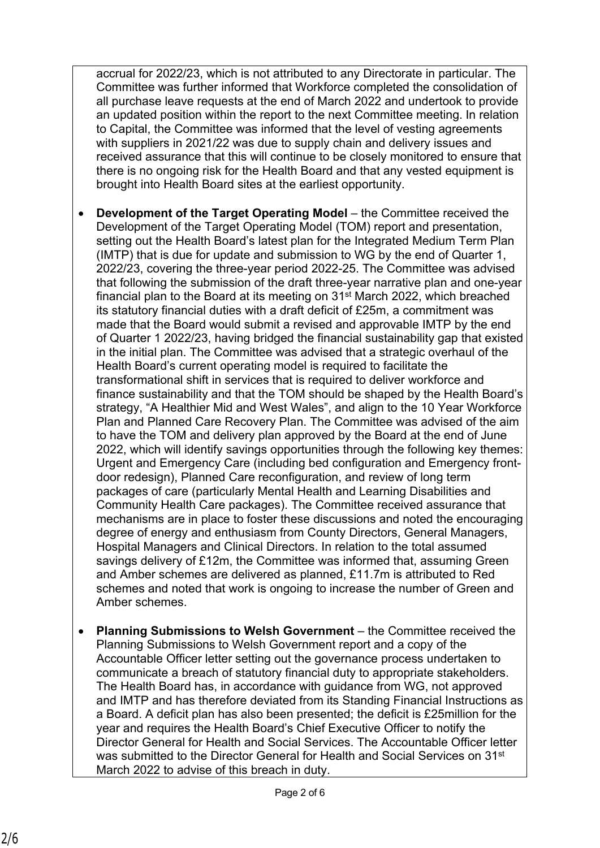accrual for 2022/23, which is not attributed to any Directorate in particular. The Committee was further informed that Workforce completed the consolidation of all purchase leave requests at the end of March 2022 and undertook to provide an updated position within the report to the next Committee meeting. In relation to Capital, the Committee was informed that the level of vesting agreements with suppliers in 2021/22 was due to supply chain and delivery issues and received assurance that this will continue to be closely monitored to ensure that there is no ongoing risk for the Health Board and that any vested equipment is brought into Health Board sites at the earliest opportunity.

- **Development of the Target Operating Model**  the Committee received the Development of the Target Operating Model (TOM) report and presentation, setting out the Health Board's latest plan for the Integrated Medium Term Plan (IMTP) that is due for update and submission to WG by the end of Quarter 1, 2022/23, covering the three-year period 2022-25. The Committee was advised that following the submission of the draft three-year narrative plan and one-year financial plan to the Board at its meeting on 31<sup>st</sup> March 2022, which breached its statutory financial duties with a draft deficit of £25m, a commitment was made that the Board would submit a revised and approvable IMTP by the end of Quarter 1 2022/23, having bridged the financial sustainability gap that existed in the initial plan. The Committee was advised that a strategic overhaul of the Health Board's current operating model is required to facilitate the transformational shift in services that is required to deliver workforce and finance sustainability and that the TOM should be shaped by the Health Board's strategy, "A Healthier Mid and West Wales", and align to the 10 Year Workforce Plan and Planned Care Recovery Plan. The Committee was advised of the aim to have the TOM and delivery plan approved by the Board at the end of June 2022, which will identify savings opportunities through the following key themes: Urgent and Emergency Care (including bed configuration and Emergency frontdoor redesign), Planned Care reconfiguration, and review of long term packages of care (particularly Mental Health and Learning Disabilities and Community Health Care packages). The Committee received assurance that mechanisms are in place to foster these discussions and noted the encouraging degree of energy and enthusiasm from County Directors, General Managers, Hospital Managers and Clinical Directors. In relation to the total assumed savings delivery of £12m, the Committee was informed that, assuming Green and Amber schemes are delivered as planned, £11.7m is attributed to Red schemes and noted that work is ongoing to increase the number of Green and Amber schemes.
- **Planning Submissions to Welsh Government** the Committee received the Planning Submissions to Welsh Government report and a copy of the Accountable Officer letter setting out the governance process undertaken to communicate a breach of statutory financial duty to appropriate stakeholders. The Health Board has, in accordance with guidance from WG, not approved and IMTP and has therefore deviated from its Standing Financial Instructions as a Board. A deficit plan has also been presented; the deficit is £25million for the year and requires the Health Board's Chief Executive Officer to notify the Director General for Health and Social Services. The Accountable Officer letter was submitted to the Director General for Health and Social Services on 31<sup>st</sup> March 2022 to advise of this breach in duty.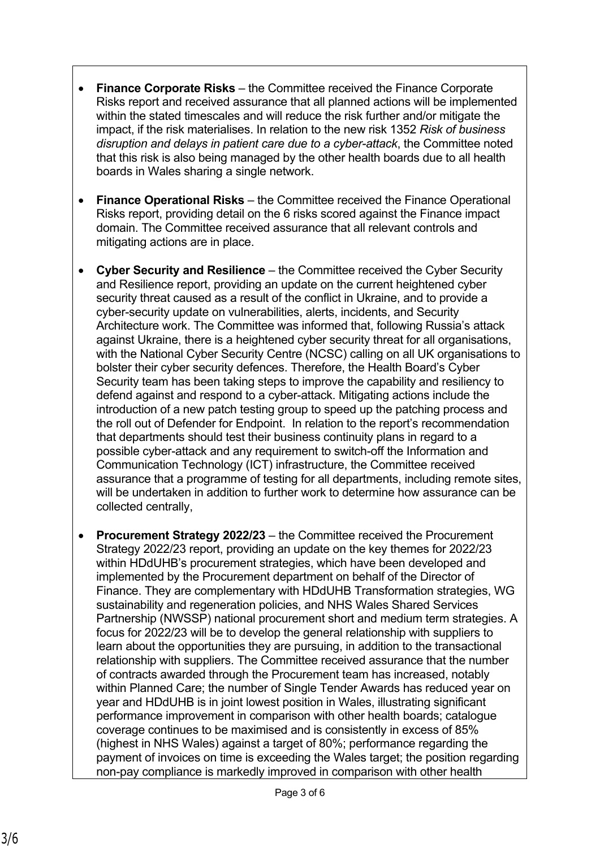- **Finance Corporate Risks** the Committee received the Finance Corporate Risks report and received assurance that all planned actions will be implemented within the stated timescales and will reduce the risk further and/or mitigate the impact, if the risk materialises. In relation to the new risk 1352 *Risk of business disruption and delays in patient care due to a cyber-attack*, the Committee noted that this risk is also being managed by the other health boards due to all health boards in Wales sharing a single network.
- **Finance Operational Risks** the Committee received the Finance Operational Risks report, providing detail on the 6 risks scored against the Finance impact domain. The Committee received assurance that all relevant controls and mitigating actions are in place.
- **Cyber Security and Resilience** the Committee received the Cyber Security and Resilience report, providing an update on the current heightened cyber security threat caused as a result of the conflict in Ukraine, and to provide a cyber-security update on vulnerabilities, alerts, incidents, and Security Architecture work. The Committee was informed that, following Russia's attack against Ukraine, there is a heightened cyber security threat for all organisations, with the National Cyber Security Centre (NCSC) calling on all UK organisations to bolster their cyber security defences. Therefore, the Health Board's Cyber Security team has been taking steps to improve the capability and resiliency to defend against and respond to a cyber-attack. Mitigating actions include the introduction of a new patch testing group to speed up the patching process and the roll out of Defender for Endpoint. In relation to the report's recommendation that departments should test their business continuity plans in regard to a possible cyber-attack and any requirement to switch-off the Information and Communication Technology (ICT) infrastructure, the Committee received assurance that a programme of testing for all departments, including remote sites, will be undertaken in addition to further work to determine how assurance can be collected centrally,
- **Procurement Strategy 2022/23**  the Committee received the Procurement Strategy 2022/23 report, providing an update on the key themes for 2022/23 within HDdUHB's procurement strategies, which have been developed and implemented by the Procurement department on behalf of the Director of Finance. They are complementary with HDdUHB Transformation strategies, WG sustainability and regeneration policies, and NHS Wales Shared Services Partnership (NWSSP) national procurement short and medium term strategies. A focus for 2022/23 will be to develop the general relationship with suppliers to learn about the opportunities they are pursuing, in addition to the transactional relationship with suppliers. The Committee received assurance that the number of contracts awarded through the Procurement team has increased, notably within Planned Care; the number of Single Tender Awards has reduced year on year and HDdUHB is in joint lowest position in Wales, illustrating significant performance improvement in comparison with other health boards; catalogue coverage continues to be maximised and is consistently in excess of 85% (highest in NHS Wales) against a target of 80%; performance regarding the payment of invoices on time is exceeding the Wales target; the position regarding non-pay compliance is markedly improved in comparison with other health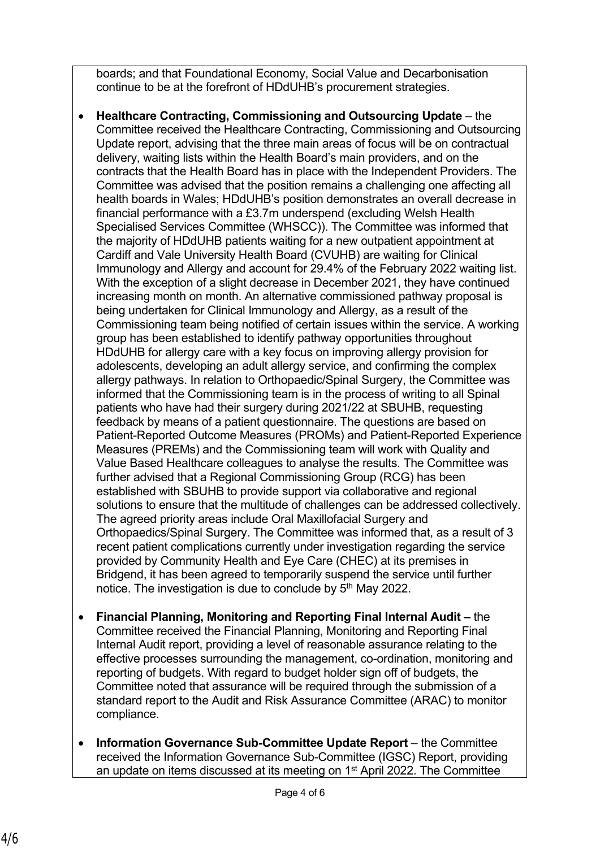boards; and that Foundational Economy, Social Value and Decarbonisation continue to be at the forefront of HDdUHB's procurement strategies.

- **Healthcare Contracting, Commissioning and Outsourcing Update**  the Committee received the Healthcare Contracting, Commissioning and Outsourcing Update report, advising that the three main areas of focus will be on contractual delivery, waiting lists within the Health Board's main providers, and on the contracts that the Health Board has in place with the Independent Providers. The Committee was advised that the position remains a challenging one affecting all health boards in Wales; HDdUHB's position demonstrates an overall decrease in financial performance with a £3.7m underspend (excluding Welsh Health Specialised Services Committee (WHSCC)). The Committee was informed that the majority of HDdUHB patients waiting for a new outpatient appointment at Cardiff and Vale University Health Board (CVUHB) are waiting for Clinical Immunology and Allergy and account for 29.4% of the February 2022 waiting list. With the exception of a slight decrease in December 2021, they have continued increasing month on month. An alternative commissioned pathway proposal is being undertaken for Clinical Immunology and Allergy, as a result of the Commissioning team being notified of certain issues within the service. A working group has been established to identify pathway opportunities throughout HDdUHB for allergy care with a key focus on improving allergy provision for adolescents, developing an adult allergy service, and confirming the complex allergy pathways. In relation to Orthopaedic/Spinal Surgery, the Committee was informed that the Commissioning team is in the process of writing to all Spinal patients who have had their surgery during 2021/22 at SBUHB, requesting feedback by means of a patient questionnaire. The questions are based on Patient-Reported Outcome Measures (PROMs) and Patient-Reported Experience Measures (PREMs) and the Commissioning team will work with Quality and Value Based Healthcare colleagues to analyse the results. The Committee was further advised that a Regional Commissioning Group (RCG) has been established with SBUHB to provide support via collaborative and regional solutions to ensure that the multitude of challenges can be addressed collectively. The agreed priority areas include Oral Maxillofacial Surgery and Orthopaedics/Spinal Surgery. The Committee was informed that, as a result of 3 recent patient complications currently under investigation regarding the service provided by Community Health and Eye Care (CHEC) at its premises in Bridgend, it has been agreed to temporarily suspend the service until further notice. The investigation is due to conclude by 5<sup>th</sup> May 2022.
- **Financial Planning, Monitoring and Reporting Final Internal Audit** the Committee received the Financial Planning, Monitoring and Reporting Final Internal Audit report, providing a level of reasonable assurance relating to the effective processes surrounding the management, co-ordination, monitoring and reporting of budgets. With regard to budget holder sign off of budgets, the Committee noted that assurance will be required through the submission of a standard report to the Audit and Risk Assurance Committee (ARAC) to monitor compliance.
- **Information Governance Sub-Committee Update Report** the Committee received the Information Governance Sub-Committee (IGSC) Report, providing an update on items discussed at its meeting on 1st April 2022. The Committee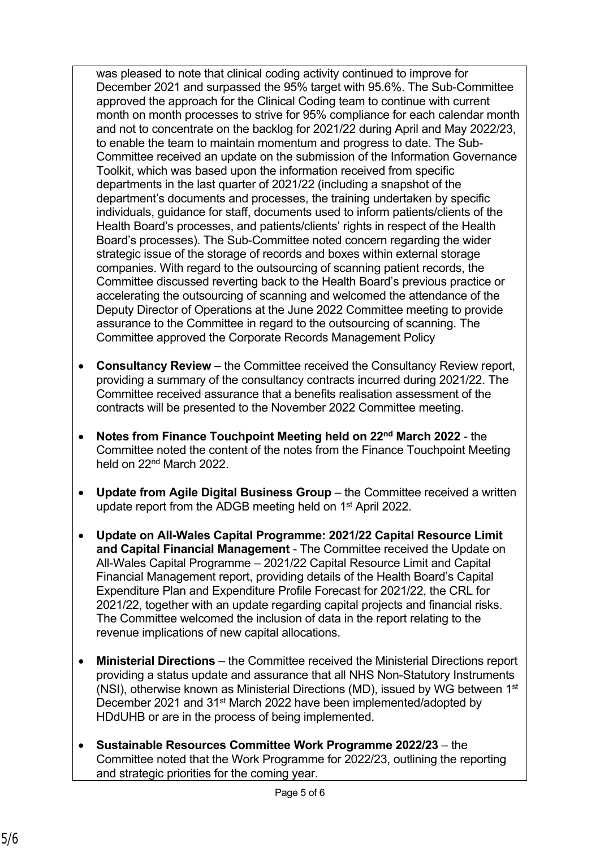was pleased to note that clinical coding activity continued to improve for December 2021 and surpassed the 95% target with 95.6%. The Sub-Committee approved the approach for the Clinical Coding team to continue with current month on month processes to strive for 95% compliance for each calendar month and not to concentrate on the backlog for 2021/22 during April and May 2022/23, to enable the team to maintain momentum and progress to date. The Sub-Committee received an update on the submission of the Information Governance Toolkit, which was based upon the information received from specific departments in the last quarter of 2021/22 (including a snapshot of the department's documents and processes, the training undertaken by specific individuals, guidance for staff, documents used to inform patients/clients of the Health Board's processes, and patients/clients' rights in respect of the Health Board's processes). The Sub-Committee noted concern regarding the wider strategic issue of the storage of records and boxes within external storage companies. With regard to the outsourcing of scanning patient records, the Committee discussed reverting back to the Health Board's previous practice or accelerating the outsourcing of scanning and welcomed the attendance of the Deputy Director of Operations at the June 2022 Committee meeting to provide assurance to the Committee in regard to the outsourcing of scanning. The Committee approved the Corporate Records Management Policy

- **Consultancy Review** the Committee received the Consultancy Review report, providing a summary of the consultancy contracts incurred during 2021/22. The Committee received assurance that a benefits realisation assessment of the contracts will be presented to the November 2022 Committee meeting.
- **Notes from Finance Touchpoint Meeting held on 22nd March 2022** the Committee noted the content of the notes from the Finance Touchpoint Meeting held on 22nd March 2022.
- **Update from Agile Digital Business Group** the Committee received a written update report from the ADGB meeting held on 1st April 2022.
- **Update on All-Wales Capital Programme: 2021/22 Capital Resource Limit and Capital Financial Management** - The Committee received the Update on All-Wales Capital Programme – 2021/22 Capital Resource Limit and Capital Financial Management report, providing details of the Health Board's Capital Expenditure Plan and Expenditure Profile Forecast for 2021/22, the CRL for 2021/22, together with an update regarding capital projects and financial risks. The Committee welcomed the inclusion of data in the report relating to the revenue implications of new capital allocations.
- **Ministerial Directions** the Committee received the Ministerial Directions report providing a status update and assurance that all NHS Non-Statutory Instruments (NSI), otherwise known as Ministerial Directions (MD), issued by WG between 1st December 2021 and 31st March 2022 have been implemented/adopted by HDdUHB or are in the process of being implemented.
- **Sustainable Resources Committee Work Programme 2022/23** the Committee noted that the Work Programme for 2022/23, outlining the reporting and strategic priorities for the coming year.